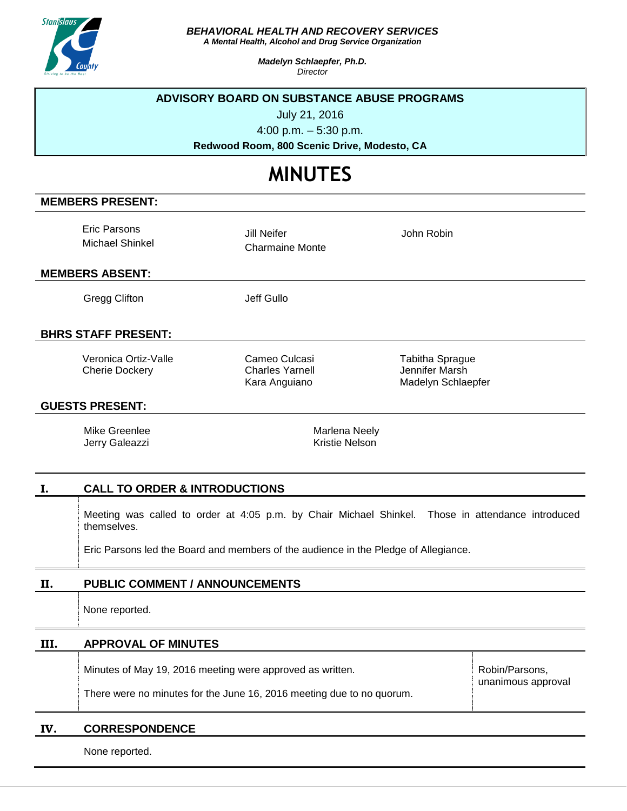

*BEHAVIORAL HEALTH AND RECOVERY SERVICES*

*A Mental Health, Alcohol and Drug Service Organization*

*Madelyn Schlaepfer, Ph.D. Director*

## **ADVISORY BOARD ON SUBSTANCE ABUSE PROGRAMS**

July 21, 2016

4:00 p.m. – 5:30 p.m.

**Redwood Room, 800 Scenic Drive, Modesto, CA**

# **MINUTES**

## **MEMBERS PRESENT:**

Eric Parsons Michael Shinkel

Jill Neifer Charmaine Monte John Robin

## **MEMBERS ABSENT:**

Gregg Clifton **Jeff Gullo** 

# **BHRS STAFF PRESENT:**

Veronica Ortiz-Valle Cherie Dockery

Cameo Culcasi Charles Yarnell Kara Anguiano

Tabitha Sprague Jennifer Marsh Madelyn Schlaepfer

## **GUESTS PRESENT:**

Mike Greenlee Jerry Galeazzi Marlena Neely Kristie Nelson

## **I. CALL TO ORDER & INTRODUCTIONS**

Meeting was called to order at 4:05 p.m. by Chair Michael Shinkel. Those in attendance introduced themselves.

Eric Parsons led the Board and members of the audience in the Pledge of Allegiance.

# **II. PUBLIC COMMENT / ANNOUNCEMENTS**

None reported.

#### **III. APPROVAL OF MINUTES**

Minutes of May 19, 2016 meeting were approved as written. There were no minutes for the June 16, 2016 meeting due to no quorum. Robin/Parsons, unanimous approval

#### **IV. CORRESPONDENCE**

None reported.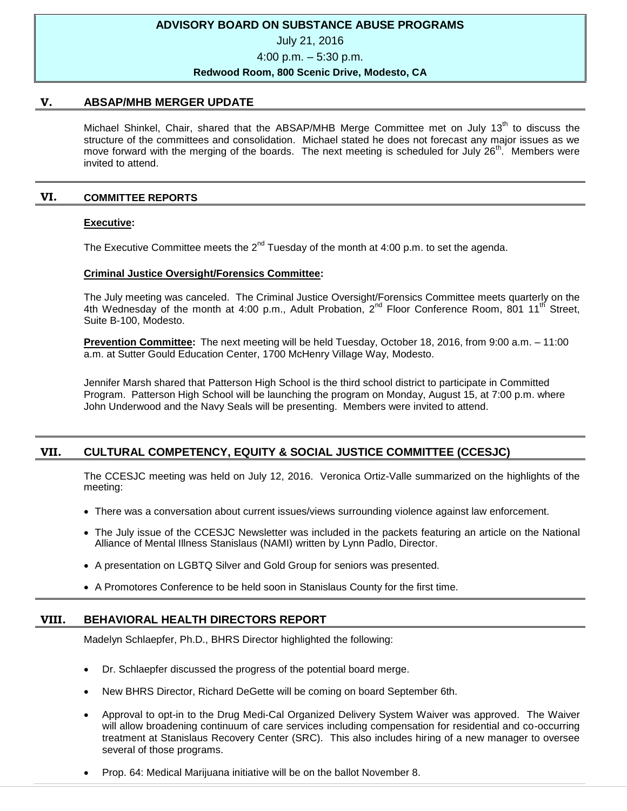## **ADVISORY BOARD ON SUBSTANCE ABUSE PROGRAMS**

## July 21, 2016

4:00 p.m. – 5:30 p.m.

#### **Redwood Room, 800 Scenic Drive, Modesto, CA**

#### **V. ABSAP/MHB MERGER UPDATE**

Michael Shinkel, Chair, shared that the ABSAP/MHB Merge Committee met on July 13<sup>th</sup> to discuss the structure of the committees and consolidation. Michael stated he does not forecast any major issues as we move forward with the merging of the boards. The next meeting is scheduled for July  $26<sup>th</sup>$ . Members were invited to attend.

## **VI. COMMITTEE REPORTS**

#### **Executive:**

The Executive Committee meets the  $2^{nd}$  Tuesday of the month at 4:00 p.m. to set the agenda.

## **Criminal Justice Oversight/Forensics Committee:**

The July meeting was canceled. The Criminal Justice Oversight/Forensics Committee meets quarterly on the 4th Wednesday of the month at 4:00 p.m., Adult Probation, 2<sup>nd</sup> Floor Conference Room, 801 11<sup>th</sup> Street, Suite B-100, Modesto.

**Prevention Committee:** The next meeting will be held Tuesday, October 18, 2016, from 9:00 a.m. – 11:00 a.m. at Sutter Gould Education Center, 1700 McHenry Village Way, Modesto.

Jennifer Marsh shared that Patterson High School is the third school district to participate in Committed Program. Patterson High School will be launching the program on Monday, August 15, at 7:00 p.m. where John Underwood and the Navy Seals will be presenting. Members were invited to attend.

# **VII. CULTURAL COMPETENCY, EQUITY & SOCIAL JUSTICE COMMITTEE (CCESJC)**

The CCESJC meeting was held on July 12, 2016. Veronica Ortiz-Valle summarized on the highlights of the meeting:

- There was a conversation about current issues/views surrounding violence against law enforcement.
- The July issue of the CCESJC Newsletter was included in the packets featuring an article on the National Alliance of Mental Illness Stanislaus (NAMI) written by Lynn Padlo, Director.
- A presentation on LGBTQ Silver and Gold Group for seniors was presented.
- A Promotores Conference to be held soon in Stanislaus County for the first time.

## **VIII. BEHAVIORAL HEALTH DIRECTORS REPORT**

Madelyn Schlaepfer, Ph.D., BHRS Director highlighted the following:

- Dr. Schlaepfer discussed the progress of the potential board merge.
- New BHRS Director, Richard DeGette will be coming on board September 6th.
- Approval to opt-in to the Drug Medi-Cal Organized Delivery System Waiver was approved. The Waiver will allow broadening continuum of care services including compensation for residential and co-occurring treatment at Stanislaus Recovery Center (SRC). This also includes hiring of a new manager to oversee several of those programs.
- Prop. 64: Medical Marijuana initiative will be on the ballot November 8.